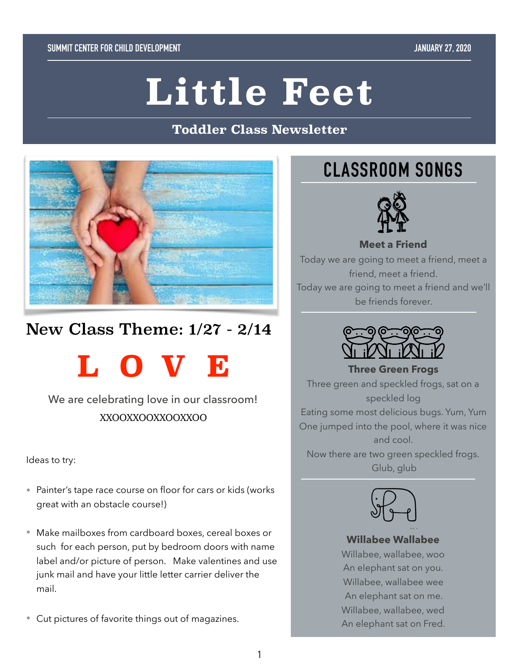# **Little Feet**

#### **Toddler Class Newsletter**



# New Class Theme: 1/27 - 2/14

**LOVE** 

We are celebrating love in our classroom! XXOOXXOOXXOOXXOO

Ideas to try:

- Painter's tape race course on floor for cars or kids (works great with an obstacle course!)
- Make mailboxes from cardboard boxes, cereal boxes or such for each person, put by bedroom doors with name label and/or picture of person. Make valentines and use junk mail and have your little letter carrier deliver the mail.
- Cut pictures of favorite things out of magazines.

# **CLASSROOM SONGS**



Today we are going to meet a friend, meet a friend, meet a friend. Today we are going to meet a friend and we'll be friends forever.

**Meet a Friend** 



**Three Green Frogs**  Three green and speckled frogs, sat on a speckled log Eating some most delicious bugs. Yum, Yum One jumped into the pool, where it was nice and cool.

Now there are two green speckled frogs. Glub, glub



#### **Willabee Wallabee**

Willabee, wallabee, woo An elephant sat on you. Willabee, wallabee wee An elephant sat on me. Willabee, wallabee, wed An elephant sat on Fred.